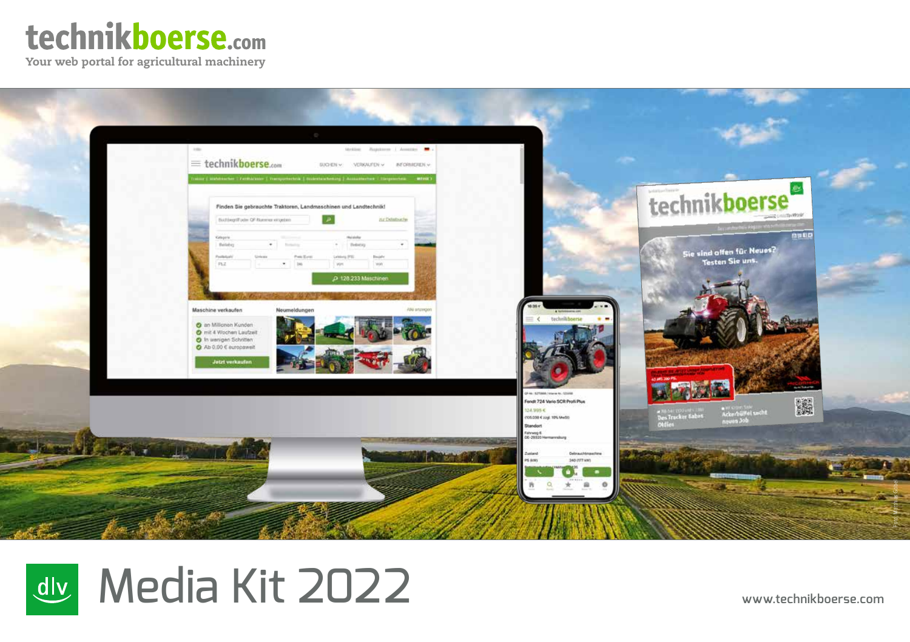# technikboerse.com

Your web portal for agricultural machinery



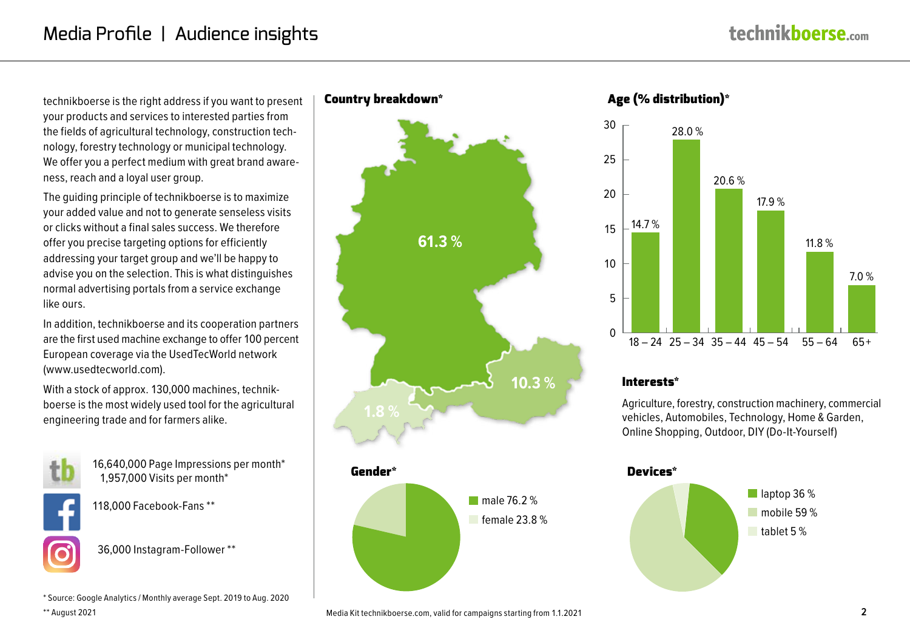technikboerse is the right address if you want to present your products and services to interested parties from the fields of agricultural technology, construction technology, forestry technology or municipal technology. We offer you a perfect medium with great brand awareness, reach and a loyal user group.

The guiding principle of technikboerse is to maximize your added value and not to generate senseless visits or clicks without a final sales success. We therefore offer you precise targeting options for efficiently addressing your target group and we'll be happy to advise you on the selection. This is what distinguishes normal advertising portals from a service exchange like ours.

In addition, technikboerse and its cooperation partners are the first used machine exchange to offer 100 percent European coverage via the UsedTecWorld network (www.usedtecworld.com).

With a stock of approx. 130,000 machines, technikboerse is the most widely used tool for the agricultural engineering trade and for farmers alike.



16,640,000 Page Impressions per month\*   1,957,000 Visits per month\*



118,000 Facebook-Fans \*\*

 36,000 Instagram-Follower \*\*

\* Source: Google Analytics / Monthly average Sept. 2019 to Aug. 2020

\*\* August 2021

# Country breakdown\*



# Age (% distribution)\*



#### Interests\*

Agriculture, forestry, construction machinery, commercial vehicles, Automobiles, Technology, Home & Garden, Online Shopping, Outdoor, DIY (Do-It-Yourself)

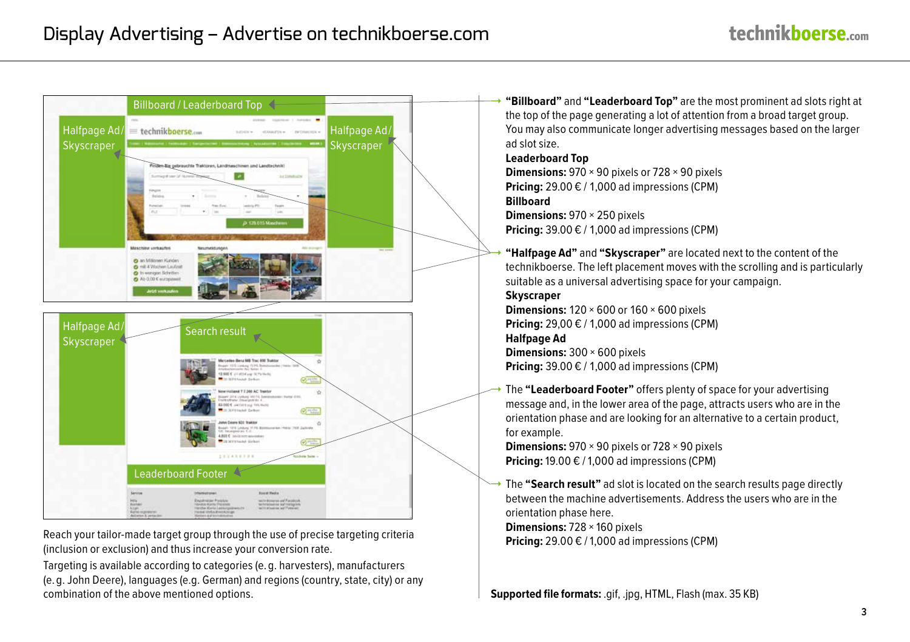

**Pricing: 29.00 € / 1,000 pixers** Reach your tailor-made target group through the use of precise targeting criteria (inclusion or exclusion) and thus increase your conversion rate.

Targeting is available according to categories (e. g. harvesters), manufacturers (e. g. John Deere), languages (e.g. German) and regions (country, state, city) or any combination of the above mentioned options. **Supported file formats:** .gif, .jpg, HTML, Flash (max. 35 KB)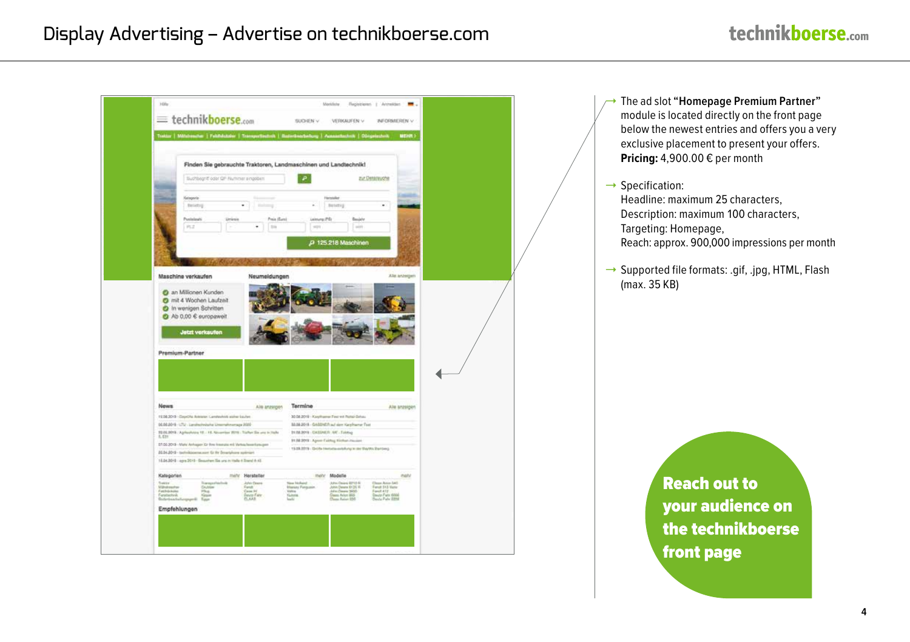# Display Advertising – Advertise on technikboerse.com

|                                         | Suchbegriff oder QP-Rummer a regident                                                                                                | Finden Sie gebrauchte Traktoren, Landmaschinen und Landtechnik! | ₽                                                                                    |                                                                                        |                                      |  |  |
|-----------------------------------------|--------------------------------------------------------------------------------------------------------------------------------------|-----------------------------------------------------------------|--------------------------------------------------------------------------------------|----------------------------------------------------------------------------------------|--------------------------------------|--|--|
|                                         |                                                                                                                                      |                                                                 |                                                                                      | ELE Detacouche                                                                         |                                      |  |  |
|                                         |                                                                                                                                      |                                                                 | <b>Heinriche</b>                                                                     |                                                                                        |                                      |  |  |
|                                         | Natagaria<br>throctory                                                                                                               | ٠<br>tisteng                                                    | $\sim$                                                                               | <b>Betering</b>                                                                        | $\sim$                               |  |  |
|                                         | Postellates                                                                                                                          | Preix (Earn)<br>۰                                               | Leistung (PS)                                                                        | Beably<br>int.                                                                         |                                      |  |  |
|                                         | 197.2                                                                                                                                | m                                                               | 771                                                                                  |                                                                                        |                                      |  |  |
|                                         |                                                                                                                                      |                                                                 |                                                                                      | P 125.218 Maschinen                                                                    |                                      |  |  |
|                                         |                                                                                                                                      |                                                                 |                                                                                      |                                                                                        |                                      |  |  |
|                                         |                                                                                                                                      |                                                                 |                                                                                      |                                                                                        | Alle architeri                       |  |  |
|                                         | Maschine verkaufen                                                                                                                   | Neumeldungen                                                    |                                                                                      |                                                                                        |                                      |  |  |
|                                         |                                                                                                                                      |                                                                 |                                                                                      |                                                                                        |                                      |  |  |
|                                         | C an Millionen Kunden                                                                                                                |                                                                 |                                                                                      |                                                                                        |                                      |  |  |
|                                         | C mit 4 Wochen Laufzeit<br>th wenigen Schritten                                                                                      |                                                                 |                                                                                      |                                                                                        |                                      |  |  |
|                                         | ← Ab 0,00 € suropaweit                                                                                                               |                                                                 |                                                                                      |                                                                                        |                                      |  |  |
|                                         |                                                                                                                                      |                                                                 |                                                                                      |                                                                                        |                                      |  |  |
|                                         | <b>Jetzt vorksufen</b>                                                                                                               |                                                                 |                                                                                      |                                                                                        |                                      |  |  |
|                                         |                                                                                                                                      |                                                                 |                                                                                      |                                                                                        |                                      |  |  |
|                                         | Premium-Partner                                                                                                                      |                                                                 |                                                                                      |                                                                                        |                                      |  |  |
|                                         |                                                                                                                                      |                                                                 |                                                                                      |                                                                                        |                                      |  |  |
|                                         |                                                                                                                                      |                                                                 |                                                                                      |                                                                                        |                                      |  |  |
|                                         |                                                                                                                                      |                                                                 |                                                                                      |                                                                                        |                                      |  |  |
| <b>Nows</b>                             |                                                                                                                                      | Als anzagen                                                     | Termine                                                                              |                                                                                        | Are anzeigen                         |  |  |
|                                         | 1938 3019 - Depths America Cambashirk states Equipe                                                                                  |                                                                 | 30.06.0019 . Kay Human First Int Partei-Detail                                       |                                                                                        |                                      |  |  |
|                                         | 06.06.0019 - LTU - Landredwische Umernahmersage 2000<br>20 00 2019 - Agriculutor 12. - 15. November 2019 - Traffert Six and in Halle |                                                                 | M-M-2018 - GASSNER auf eine Karpfrumer Fest<br>21.08.2019 - CASSINER . ME - Falottag |                                                                                        |                                      |  |  |
| 5, 631                                  |                                                                                                                                      |                                                                 | 81.08.0018 - Agree Extrug Kichan Hassier                                             |                                                                                        |                                      |  |  |
|                                         | 07.06.2019 - Mahr Anhagen ISr thre Issuezta mit Wetescheseritzteigen<br>20.04.2019 - techniqueme.xxrt Gr fix Dourtyhore sprinters    |                                                                 |                                                                                      | 15.09.0019 - Große Hertville-exhibity to der BeyVix Darting.                           |                                      |  |  |
|                                         | 16.06.0010 : agra 2010 - Sessature Six ses: in Halle 6 Stand A AS                                                                    |                                                                 |                                                                                      |                                                                                        |                                      |  |  |
|                                         |                                                                                                                                      | milly Hersteller                                                | mehr Modelle                                                                         |                                                                                        | nati                                 |  |  |
| Kategorien<br><b>Suite</b>              | Transportant role                                                                                                                    | John Deere                                                      | New Nobert                                                                           | Juhn Deire B712 R                                                                      | Dean June 141                        |  |  |
| <b>Millholt meet ton</b><br>Fundaturies | Chubber<br>27a<br>Faratscheik<br>Bisterbescheibergsgerät<br>Saure<br>East                                                            | Fandt<br>Case IV<br>Coup Fair                                   | <b>Massey Finguish</b><br><b>Valley</b><br><b>Numma</b><br>lashi                     | John Deste 8125 W<br>Adio Cases 1455<br>Famil ATZ<br>Daas Arion 855<br>Diver Arise USS | Ferrall 513 Marke<br>Doute Fate 6004 |  |  |

1 The ad slot **"Homepage Premium Partner"** module is located directly on the front page below the newest entries and offers you a very exclusive placement to present your offers. **Pricing:** 4,900.00 € per month

Specification: Headline: maximum 25 characters, Description: maximum 100 characters, Targeting: Homepage, Reach: approx. 900,000 impressions per month

Supported file formats: .gif, .jpg, HTML, Flash (max. 35 KB)

> Reach out to your audience on the technikboerse front page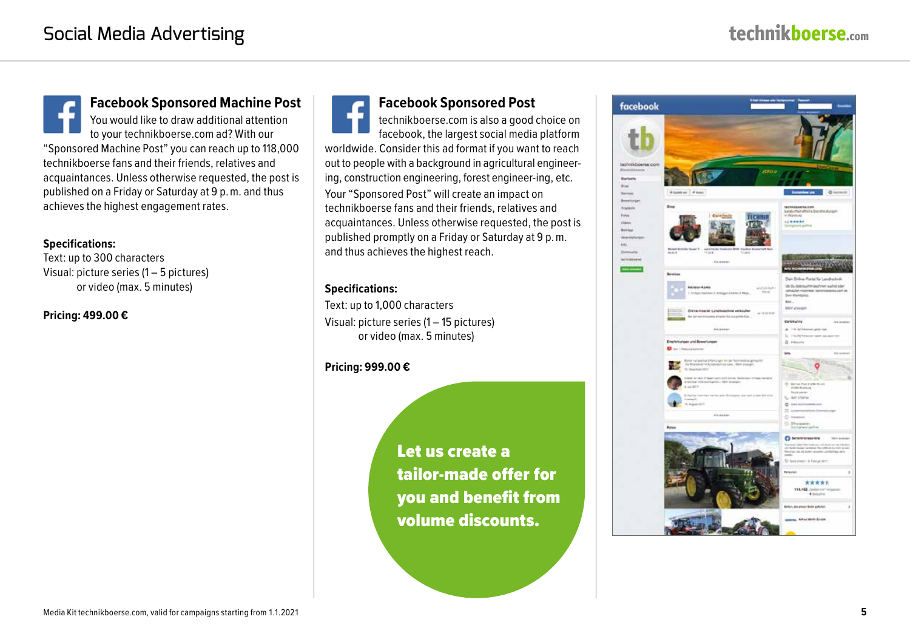**Facebook Sponsored Machine Post** You would like to draw additional attention to your technikboerse.com ad? With our "Sponsored Machine Post" you can reach up to 118,000 technikboerse fans and their friends, relatives and acquaintances. Unless otherwise requested, the post is published on a Friday or Saturday at 9 p. m. and thus achieves the highest engagement rates.

#### **Specifications:**

Text: up to 300 characters Visual: picture series (1 – 5 pictures) or video (max. 5 minutes)

#### **Pricing: 499.00 €**

**Facebook Sponsored Post**

technikboerse.com is also a good choice on facebook, the largest social media platform worldwide. Consider this ad format if you want to reach out to people with a background in agricultural engineering, construction engineering, forest engineer-ing, etc.

Your "Sponsored Post" will create an impact on technikboerse fans and their friends, relatives and acquaintances. Unless otherwise requested, the post is published promptly on a Friday or Saturday at 9 p. m. and thus achieves the highest reach.

#### **Specifications:**

Text: up to 1,000 characters Visual: picture series (1 – 15 pictures) or video (max. 5 minutes)

#### **Pricing: 999.00 €**

Let us create a tailor-made offer for you and benefit from volume discounts.

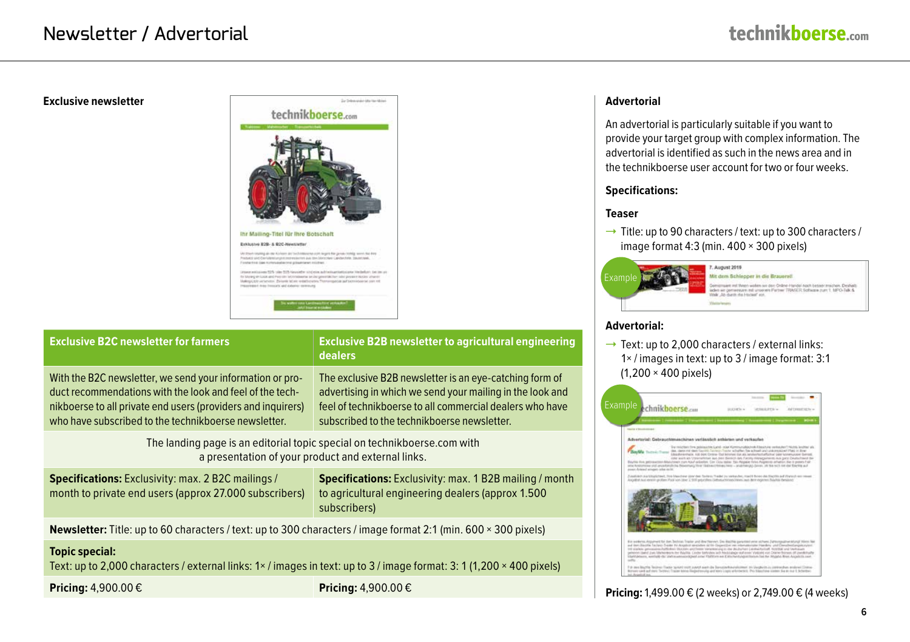#### **Exclusive newsletter**



| <b>Exclusive B2C newsletter for farmers</b>                                                                                                                                                                                                   | <b>Exclusive B2B newsletter to agricultural engineering</b><br><b>dealers</b>                                                                                                                                                   |
|-----------------------------------------------------------------------------------------------------------------------------------------------------------------------------------------------------------------------------------------------|---------------------------------------------------------------------------------------------------------------------------------------------------------------------------------------------------------------------------------|
| With the B2C newsletter, we send your information or pro-<br>duct recommendations with the look and feel of the tech-<br>nikboerse to all private end users (providers and inquirers)<br>who have subscribed to the technikboerse newsletter. | The exclusive B2B newsletter is an eye-catching form of<br>advertising in which we send your mailing in the look and<br>feel of technikboerse to all commercial dealers who have<br>subscribed to the technikboerse newsletter. |
| The landing page is an editorial topic special on technikboerse.com with<br>a presentation of your product and external links.                                                                                                                |                                                                                                                                                                                                                                 |
| <b>Specifications:</b> Exclusivity: max. 2 B2C mailings /<br>month to private end users (approx 27.000 subscribers)                                                                                                                           | <b>Specifications:</b> Exclusivity: max. 1 B2B mailing / month<br>to agricultural engineering dealers (approx 1.500)<br>subscribers)                                                                                            |
| <b>Newsletter:</b> Title: up to 60 characters / text: up to 300 characters / image format 2:1 (min. 600 $\times$ 300 pixels)                                                                                                                  |                                                                                                                                                                                                                                 |
| <b>Topic special:</b><br>Text: up to 2,000 characters / external links: 1× / images in text: up to 3 / image format: 3: 1 (1,200 × 400 pixels)                                                                                                |                                                                                                                                                                                                                                 |
| Pricing: $4,900.00 \in$                                                                                                                                                                                                                       | Pricing: $4,900.00 \in$                                                                                                                                                                                                         |

#### **Advertorial**

An advertorial is particularly suitable if you want to provide your target group with complex information. The advertorial is identified as such in the news area and in the technikboerse user account for two or four weeks.

#### **Specifications:**

#### **Teaser**

 $\rightarrow$  Title: up to 90 characters / text: up to 300 characters / image format 4:3 (min. 400 × 300 pixels)



# **Advertorial:**

Text: up to 2,000 characters / external links: 1× / images in text: up to 3 / image format: 3:1 (1,200 × 400 pixels)



## **Pricing:** 1,499.00 € (2 weeks) or 2,749.00 € (4 weeks)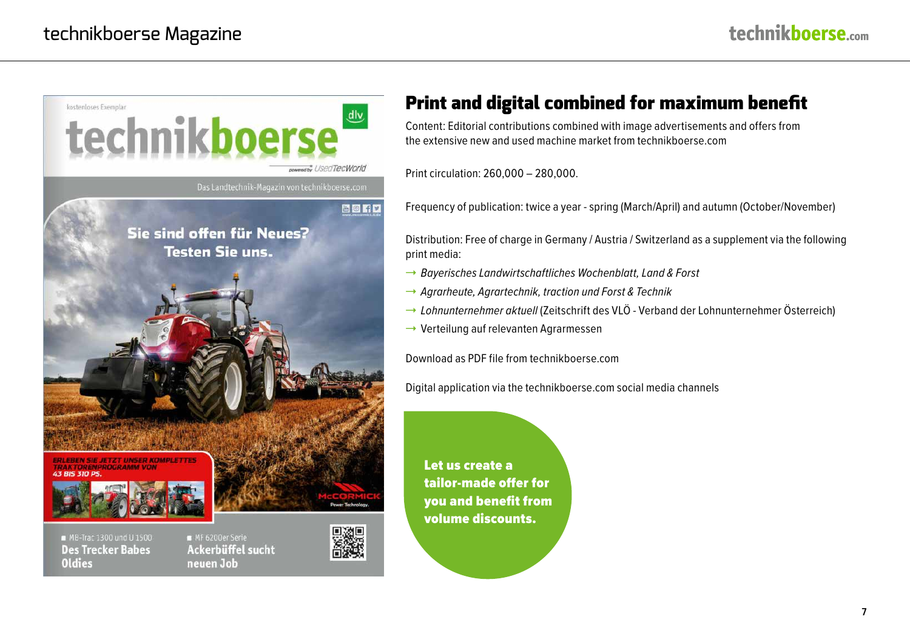

#### MB-Trac 1300 und U 1500 **Des Trecker Babes Oldies**

MF 6200er Serie **Ackerbüffel sucht** neuen Job

# Print and digital combined for maximum benefit

Content: Editorial contributions combined with image advertisements and offers from the extensive new and used machine market from technikboerse.com

Print circulation: 260,000 – 280,000.

Frequency of publication: twice a year - spring (March/April) and autumn (October/November)

Distribution: Free of charge in Germany / Austria / Switzerland as a supplement via the following print media:

- → *Bayerisches Landwirtschaftliches Wochenblatt, Land & Forst*
- 1 *Agrarheute, Agrartechnik, traction und Forst & Technik*
- → Lohnunternehmer aktuell (Zeitschrift des VLÖ Verband der Lohnunternehmer Österreich)
- $\rightarrow$  Verteilung auf relevanten Agrarmessen

Download as PDF file from technikboerse.com

Digital application via the technikboerse.com social media channels

Let us create a tailor-made offer for you and benefit from volume discounts.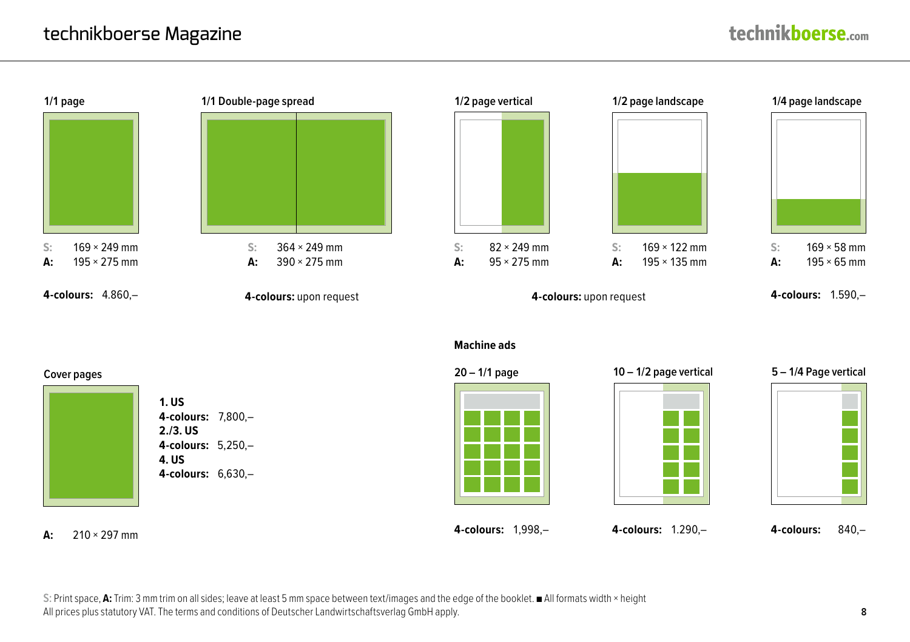

#### **Machine ads**





**4-colours:** 7,800,– **4-colours:** 5,250,– **4-colours:** 6,630,–



**4-colours:** 1,998,– **4-colours:** 1.290,– **4-colours:** 840,–





**A:** 210 × 297 mm

**S:** Print space, **A:** Trim: 3 mm trim on all sides; leave at least 5 mm space between text/images and the edge of the booklet. ■ All formats width × height All prices plus statutory VAT. The terms and conditions of Deutscher Landwirtschaftsverlag GmbH apply.